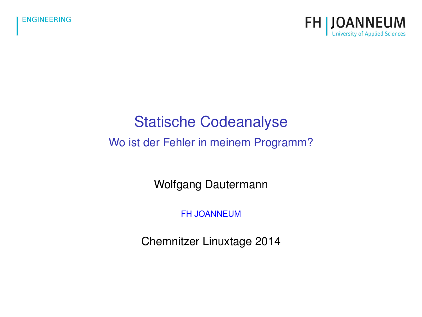

### Statische Codeanalyse

### Wo ist der Fehler in meinem Programm?

Wolfgang Dautermann

[FH JOANNEUM](http://www.fh-joanneum.at)

Chemnitzer Linuxtage 2014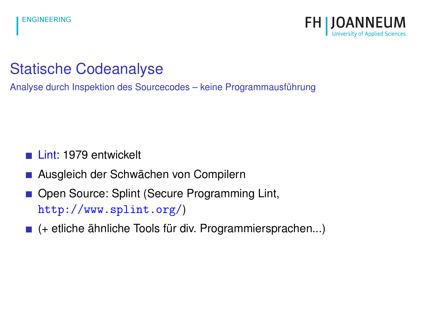

## Statische Codeanalyse

Analyse durch Inspektion des Sourcecodes – keine Programmausführung

- [Lint:](https://de.wikipedia.org/wiki/Lint_%28Programmierwerkzeug%29) 1979 entwickelt
- Ausgleich der Schwächen von Compilern
- Open Source: Splint (Secure Programming Lint, <http://www.splint.org/>)
- $\blacksquare$  (+ etliche ähnliche Tools für div. Programmiersprachen...)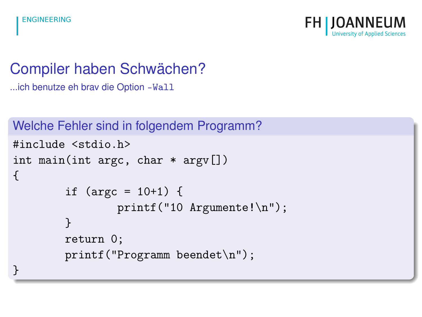

## Compiler haben Schwächen?

...ich benutze eh brav die Option -Wall

Welche Fehler sind in folgendem Programm?

```
#include <stdio.h>
int main(int argc, char * argv[])
{
        if (argc = 10+1) {
                printf("10 Argumente!\n");
        }
        return 0;
        printf("Programm beendet\n");
}
```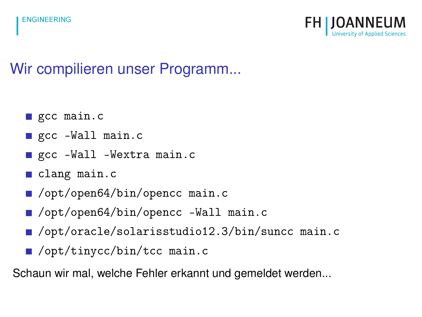

# Wir compilieren unser Programm...

- gcc main.c
- gcc -Wall main.c
- gcc -Wall -Wextra main.c
- clang main.c
- /opt/open64/bin/opencc main.c
- /opt/open64/bin/opencc -Wall main.c
- /opt/oracle/solarisstudio12.3/bin/suncc main.c
- /opt/tinycc/bin/tcc main.c

Schaun wir mal, welche Fehler erkannt und gemeldet werden...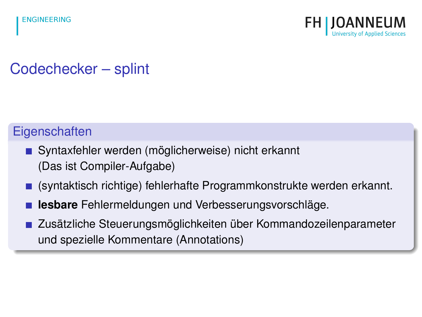

# Codechecker – splint

### **Eigenschaften**

- Syntaxfehler werden (möglicherweise) nicht erkannt (Das ist Compiler-Aufgabe)
- (syntaktisch richtige) fehlerhafte Programmkonstrukte werden erkannt.
- **lesbare** Fehlermeldungen und Verbesserungsvorschläge.
- Zusätzliche Steuerungsmöglichkeiten über Kommandozeilenparameter und spezielle Kommentare (Annotations)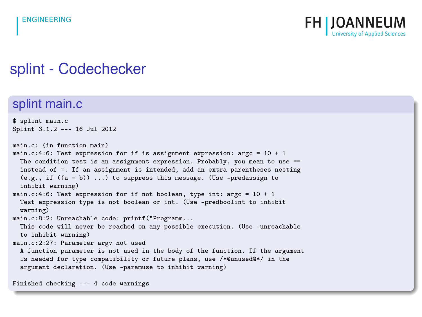

### splint - Codechecker

### splint main.c

\$ splint main.c Splint 3.1.2 --- 16 Jul 2012

main.c: (in function main) main.c:4:6: Test expression for if is assignment expression:  $\text{area} = 10 + 1$ The condition test is an assignment expression. Probably, you mean to use  $=$ instead of =. If an assignment is intended, add an extra parentheses nesting  $(e.g., if ((a = b))...)$  to suppress this message. (Use -predassign to inhibit warning)

main.c:4:6: Test expression for if not boolean, type int:  $\arg c = 10 + 1$ Test expression type is not boolean or int. (Use -predboolint to inhibit warning)

main.c:8:2: Unreachable code: printf("Programm...

This code will never be reached on any possible execution. (Use -unreachable to inhibit warning)

main.c:2:27: Parameter argv not used

A function parameter is not used in the body of the function. If the argument is needed for type compatibility or future plans, use /\*@unused@\*/ in the argument declaration. (Use -paramuse to inhibit warning)

Finished checking --- 4 code warnings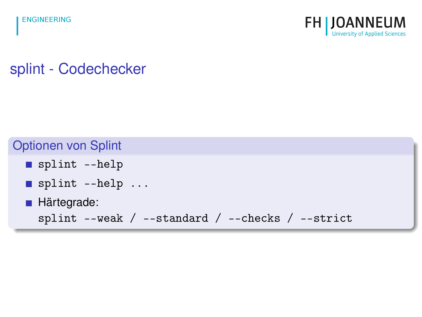

splint - Codechecker

### Optionen von Splint

- splint --help
- splint --help ...
- **Härtegrade:**

```
splint --weak / --standard / --checks / --strict
```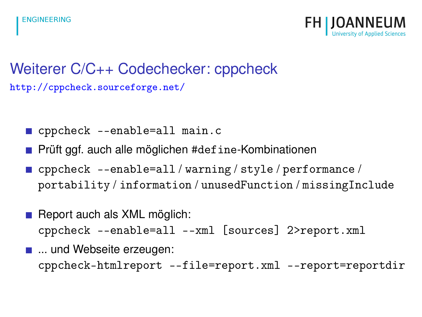

## Weiterer C/C++ Codechecker: cppcheck <http://cppcheck.sourceforge.net/>

- cppcheck --enable=all main.c
- **Prüft ggf. auch alle möglichen #define-Kombinationen**
- cppcheck --enable=all / warning / style / performance / portability / information / unusedFunction / missingInclude
- $\blacksquare$  Report auch als XML möglich: cppcheck --enable=all --xml [sources] 2>report.xml
- ... und Webseite erzeugen: cppcheck-htmlreport --file=report.xml --report=reportdir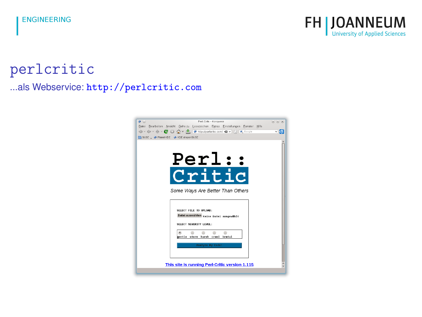

### perlcritic ...als Webservice: <http://perlcritic.com>

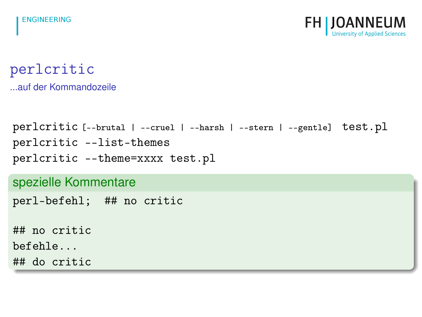

perlcritic ...auf der Kommandozeile

```
perlcritic [--brutal | --cruel | --harsh | --stern | --gentle] test.pl
perlcritic --list-themes
perlcritic --theme=xxxx test.pl
```
spezielle Kommentare

perl-befehl; ## no critic

## no critic

befehle...

## do critic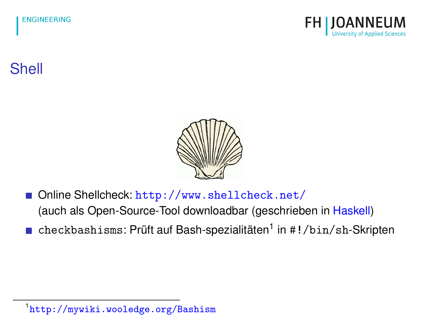

# Shell



- Online Shellcheck: <http://www.shellcheck.net/> (auch als Open-Source-Tool downloadbar (geschrieben in [Haskell\)](http://de.wikipedia.org/wiki/Haskell_%28Programmiersprache%29)
- checkbashisms: Prüft auf Bash-spezialitäten<sup>1</sup> in #!/bin/sh-Skripten

<sup>1</sup> <http://mywiki.wooledge.org/Bashism>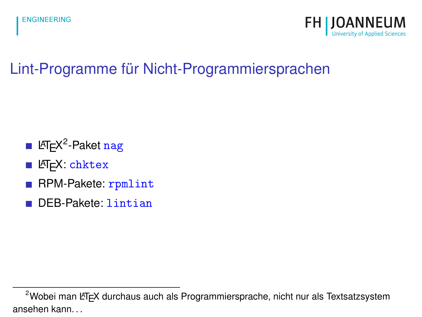

# Lint-Programme für Nicht-Programmiersprachen

- L<sup>AT</sup>E<sup>X2</sup>-Paket [nag](http://www.ctan.org/tex-archive/macros/latex/contrib/nag)
- LATEX: [chktex](http://www.ctan.org/tex-archive/support/chktex)
- RPM-Pakete: [rpmlint](http://sourceforge.net/projects/rpmlint/)
- DEB-Pakete: [lintian](http://lintian.debian.org/)

 $2$ Wobei man LATEX durchaus auch als Programmiersprache, nicht nur als Textsatzsystem ansehen kann. . .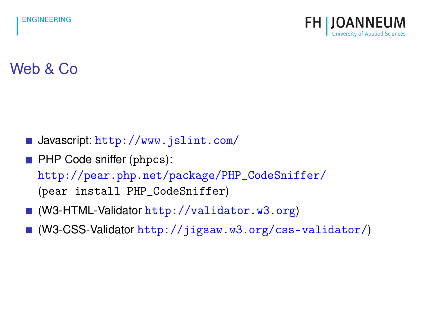

# Web & Co

- $\blacksquare$  Javascript: <http://www.jslint.com/>
- **PHP Code sniffer (phpcs):** [http://pear.php.net/package/PHP\\_CodeSniffer/](http://pear.php.net/package/PHP_CodeSniffer/) (pear install PHP\_CodeSniffer)
- (W3-HTML-Validator <http://validator.w3.org>)
- (W3-CSS-Validator <http://jigsaw.w3.org/css-validator/>)